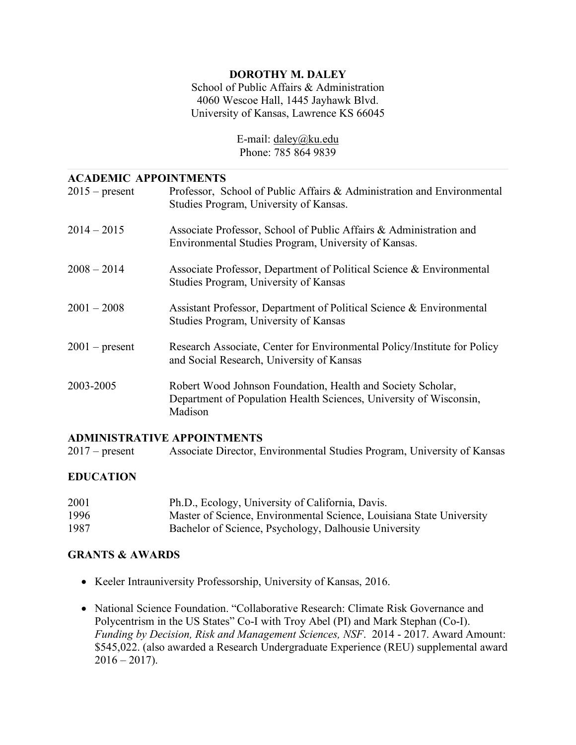## **DOROTHY M. DALEY**

 School of Public Affairs & Administration 4060 Wescoe Hall, 1445 Jayhawk Blvd. University of Kansas, Lawrence KS 66045

> Phone: 785 864 9839 E-mail: [daley@ku.edu](mailto:daley@ku.edu)

### **ACADEMIC APPOINTMENTS**

| $2015$ – present | Professor, School of Public Affairs & Administration and Environmental<br>Studies Program, University of Kansas.                             |
|------------------|----------------------------------------------------------------------------------------------------------------------------------------------|
| $2014 - 2015$    | Associate Professor, School of Public Affairs & Administration and<br>Environmental Studies Program, University of Kansas.                   |
| $2008 - 2014$    | Associate Professor, Department of Political Science & Environmental<br>Studies Program, University of Kansas                                |
| $2001 - 2008$    | Assistant Professor, Department of Political Science & Environmental<br>Studies Program, University of Kansas                                |
| $2001$ – present | Research Associate, Center for Environmental Policy/Institute for Policy<br>and Social Research, University of Kansas                        |
| 2003-2005        | Robert Wood Johnson Foundation, Health and Society Scholar,<br>Department of Population Health Sciences, University of Wisconsin,<br>Madison |

### **ADMINISTRATIVE APPOINTMENTS**

 $2017$  – present Associate Director, Environmental Studies Program, University of Kansas

## **EDUCATION**

| 2001 | Ph.D., Ecology, University of California, Davis.                     |
|------|----------------------------------------------------------------------|
| 1996 | Master of Science, Environmental Science, Louisiana State University |
| 1987 | Bachelor of Science, Psychology, Dalhousie University                |

### **GRANTS & AWARDS**

- Keeler Intrauniversity Professorship, University of Kansas, 2016.
- • National Science Foundation. "Collaborative Research: Climate Risk Governance and Polycentrism in the US States" Co-I with Troy Abel (PI) and Mark Stephan (Co-I).  *Funding by Decision, Risk and Management Sciences, NSF*. 2014 - 2017. Award Amount: \$545,022. (also awarded a Research Undergraduate Experience (REU) supplemental award  $2016 - 2017$ ).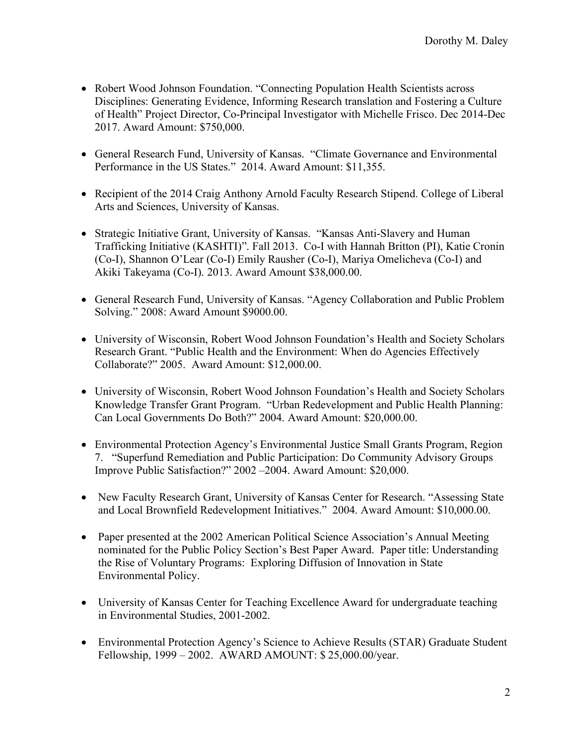- • Robert Wood Johnson Foundation. "Connecting Population Health Scientists across Disciplines: Generating Evidence, Informing Research translation and Fostering a Culture of Health" Project Director, Co-Principal Investigator with Michelle Frisco. Dec 2014-Dec 2017. Award Amount: \$750,000.
- • General Research Fund, University of Kansas. "Climate Governance and Environmental Performance in the US States." 2014. Award Amount: \$11,355.
- • Recipient of the 2014 Craig Anthony Arnold Faculty Research Stipend. College of Liberal Arts and Sciences, University of Kansas.
- • Strategic Initiative Grant, University of Kansas. "Kansas Anti-Slavery and Human Trafficking Initiative (KASHTI)". Fall 2013. Co-I with Hannah Britton (PI), Katie Cronin (Co-I), Shannon O'Lear (Co-I) Emily Rausher (Co-I), Mariya Omelicheva (Co-I) and Akiki Takeyama (Co-I). 2013. Award Amount [\\$38,000.00](https://38,000.00).
- • General Research Fund, University of Kansas. "Agency Collaboration and Public Problem Solving." 2008: Award Amount \$9000.00.
- • University of Wisconsin, Robert Wood Johnson Foundation's Health and Society Scholars Research Grant. "Public Health and the Environment: When do Agencies Effectively Collaborate?" 2005. Award Amount: \$[12,000.00.](https://12,000.00)
- • University of Wisconsin, Robert Wood Johnson Foundation's Health and Society Scholars Knowledge Transfer Grant Program. "Urban Redevelopment and Public Health Planning: Can Local Governments Do Both?" 2004. Award Amount: [\\$20,000.00](https://20,000.00).
- • Environmental Protection Agency's Environmental Justice Small Grants Program, Region 7. "Superfund Remediation and Public Participation: Do Community Advisory Groups Improve Public Satisfaction?" 2002 –2004. Award Amount: \$20,000.
- • New Faculty Research Grant, University of Kansas Center for Research. "Assessing State and Local Brownfield Redevelopment Initiatives." 2004. Award Amount: \$[10,000.00.](https://10,000.00)
- • Paper presented at the 2002 American Political Science Association's Annual Meeting nominated for the Public Policy Section's Best Paper Award. Paper title: Understanding the Rise of Voluntary Programs: Exploring Diffusion of Innovation in State Environmental Policy.
- • University of Kansas Center for Teaching Excellence Award for undergraduate teaching in Environmental Studies, 2001-2002.
- • Environmental Protection Agency's Science to Achieve Results (STAR) Graduate Student Fellowship, 1999 – 2002. AWARD AMOUNT: \$ 25,000.00/year.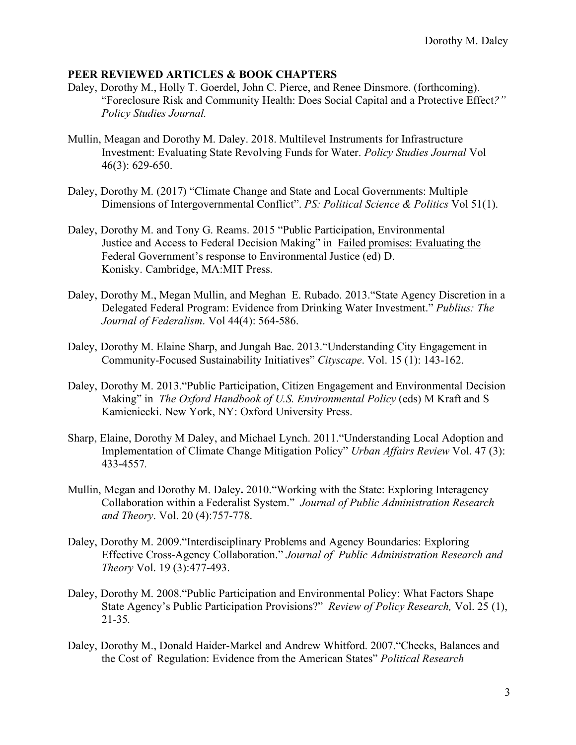### **PEER REVIEWED ARTICLES & BOOK CHAPTERS**

- Daley, Dorothy M., Holly T. Goerdel, John C. Pierce, and Renee Dinsmore. (forthcoming). "Foreclosure Risk and Community Health: Does Social Capital and a Protective Effect*?" Policy Studies Journal.*
- Mullin, Meagan and Dorothy M. Daley. 2018. Multilevel Instruments for Infrastructure Investment: Evaluating State Revolving Funds for Water. *Policy Studies Journal* Vol 46(3): 629-650.
- Daley, Dorothy M. (2017) "Climate Change and State and Local Governments: Multiple Dimensions of Intergovernmental Conflict". *PS: Political Science & Politics* Vol 51(1).
- Daley, Dorothy M. and Tony G. Reams. 2015 "Public Participation, Environmental Federal Government's response to Environmental Justice (ed) D. Justice and Access to Federal Decision Making" in Failed promises: Evaluating the Konisky. Cambridge, MA:MIT Press.
- Daley, Dorothy M., Megan Mullin, and Meghan E. Rubado. 2013."State Agency Discretion in a Delegated Federal Program: Evidence from Drinking Water Investment." *Publius: The Journal of Federalism*. Vol 44(4): 564-586.
- Daley, Dorothy M. Elaine Sharp, and Jungah Bae. 2013."Understanding City Engagement in Community-Focused Sustainability Initiatives" *Cityscape*. Vol. 15 (1): 143-162.
- Daley, Dorothy M. 2013."Public Participation, Citizen Engagement and Environmental Decision Making" in *The Oxford Handbook of U.S. Environmental Policy* (eds) M Kraft and S Kamieniecki. New York, NY: Oxford University Press.
- Sharp, Elaine, Dorothy M Daley, and Michael Lynch. 2011."Understanding Local Adoption and Implementation of Climate Change Mitigation Policy" *Urban Affairs Review* Vol. 47 (3): 433-4557*.*
- Mullin, Megan and Dorothy M. Daley**.** 2010."Working with the State: Exploring Interagency Collaboration within a Federalist System." *Journal of Public Administration Research and Theory*. Vol. 20 (4):757-778.
- Daley, Dorothy M. 2009."Interdisciplinary Problems and Agency Boundaries: Exploring  Effective Cross-Agency Collaboration." *Journal of Public Administration Research and Theory Vol. 19 (3):477-493.*
- *Theory Vol. 19 (3):477-493.*<br>Daley, Dorothy M. 2008. "Public Participation and Environmental Policy: What Factors Shape State Agency's Public Participation Provisions?" *Review of Policy Research,* Vol. 25 (1), 21-35*.*
- Daley, Dorothy M., Donald Haider-Markel and Andrew Whitford. 2007."Checks, Balances and the Cost of Regulation: Evidence from the American States" *Political Research*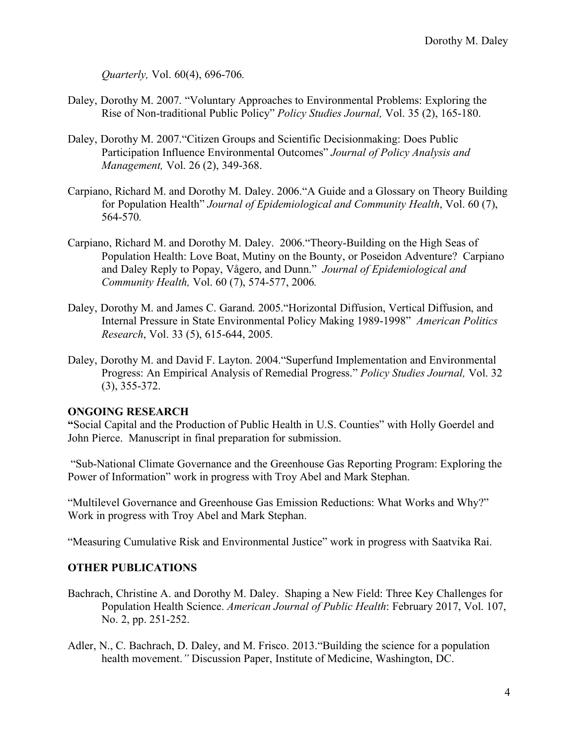*Quarterly,* Vol. 60(4), 696-706*.* 

- Daley, Dorothy M. 2007. "Voluntary Approaches to Environmental Problems: Exploring the Rise of Non-traditional Public Policy" *Policy Studies Journal,* Vol. 35 (2), 165-180.
- Daley, Dorothy M. 2007."Citizen Groups and Scientific Decisionmaking: Does Public Participation Influence Environmental Outcomes" *Journal of Policy Analysis and Management,* Vol. 26 (2), 349-368.
- Carpiano, Richard M. and Dorothy M. Daley. 2006."A Guide and a Glossary on Theory Building  for Population Health" *Journal of Epidemiological and Community Health*, Vol. 60 (7), 564-570*.*
- Carpiano, Richard M. and Dorothy M. Daley. 2006."Theory-Building on the High Seas of Population Health: Love Boat, Mutiny on the Bounty, or Poseidon Adventure? Carpiano and Daley Reply to Popay, Vågero, and Dunn." *Journal of Epidemiological and Community Health,* Vol. 60 (7), 574-577, 2006*.*
- Daley, Dorothy M. and James C. Garand. 2005."Horizontal Diffusion, Vertical Diffusion, and Internal Pressure in State Environmental Policy Making 1989-1998" *American Politics Research*, Vol. 33 (5), 615-644, 2005*.*
- Daley, Dorothy M. and David F. Layton. 2004."Superfund Implementation and Environmental Progress: An Empirical Analysis of Remedial Progress." *Policy Studies Journal,* Vol. 32 (3), 355-372.

### **ONGOING RESEARCH**

 **"**Social Capital and the Production of Public Health in U.S. Counties" with Holly Goerdel and John Pierce. Manuscript in final preparation for submission.

 "Sub-National Climate Governance and the Greenhouse Gas Reporting Program: Exploring the Power of Information" work in progress with Troy Abel and Mark Stephan.

 "Multilevel Governance and Greenhouse Gas Emission Reductions: What Works and Why?" Work in progress with Troy Abel and Mark Stephan.

Work in progress with Troy Abel and Mark Stephan. "Measuring Cumulative Risk and Environmental Justice" work in progress with Saatvika Rai.

## **OTHER PUBLICATIONS**

- Bachrach, Christine A. and Dorothy M. Daley. Shaping a New Field: Three Key Challenges for  Population Health Science. *American Journal of Public Health*: February 2017, Vol. 107, No. 2, pp. 251-252.
- Adler, N., C. Bachrach, D. Daley, and M. Frisco. 2013."Building the science for a population health movement.*"* Discussion Paper, Institute of Medicine, Washington, DC.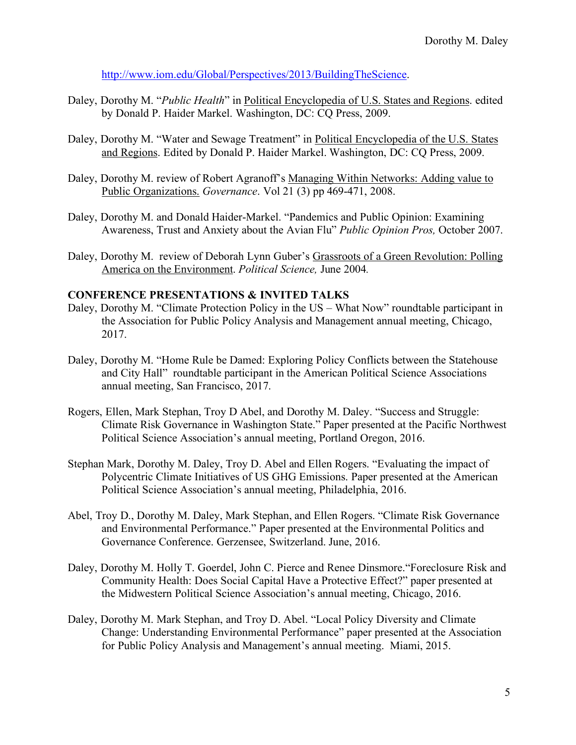<http://www.iom.edu/Global/Perspectives/2013/BuildingTheScience>.

- Daley, Dorothy M. "*Public Health*" in Political Encyclopedia of U.S. States and Regions. edited by Donald P. Haider Markel. Washington, DC: CQ Press, 2009.
- Daley, Dorothy M. "Water and Sewage Treatment" in Political Encyclopedia of the U.S. States and Regions. Edited by Donald P. Haider Markel. Washington, DC: CQ Press, 2009.
- Daley, Dorothy M. review of Robert Agranoff's Managing Within Networks: Adding value to Public Organizations. *Governance*. Vol 21 (3) pp 469-471, 2008.
- Daley, Dorothy M. and Donald Haider-Markel. "Pandemics and Public Opinion: Examining Awareness, Trust and Anxiety about the Avian Flu" *Public Opinion Pros,* October 2007.
- Daley, Dorothy M. review of Deborah Lynn Guber's Grassroots of a Green Revolution: Polling America on the Environment. *Political Science,* June 2004*.*

#### **CONFERENCE PRESENTATIONS & INVITED TALKS**

- Daley, Dorothy M. "Climate Protection Policy in the US What Now" roundtable participant in the Association for Public Policy Analysis and Management annual meeting, Chicago, 2017. 2017. Daley, Dorothy M. "Home Rule be Damed: Exploring Policy Conflicts between the Statehouse
- and City Hall" roundtable participant in the American Political Science Associations annual meeting, San Francisco, 2017.
- Rogers, Ellen, Mark Stephan, Troy D Abel, and Dorothy M. Daley. "Success and Struggle: Climate Risk Governance in Washington State." Paper presented at the Pacific Northwest Political Science Association's annual meeting, Portland Oregon, 2016.
- Stephan Mark, Dorothy M. Daley, Troy D. Abel and Ellen Rogers. "Evaluating the impact of Polycentric Climate Initiatives of US GHG Emissions. Paper presented at the American Political Science Association's annual meeting, Philadelphia, 2016.
- Abel, Troy D., Dorothy M. Daley, Mark Stephan, and Ellen Rogers. "Climate Risk Governance and Environmental Performance." Paper presented at the Environmental Politics and Governance Conference. Gerzensee, Switzerland. June, 2016.
- Daley, Dorothy M. Holly T. Goerdel, John C. Pierce and Renee Dinsmore."Foreclosure Risk and Community Health: Does Social Capital Have a Protective Effect?" paper presented at the Midwestern Political Science Association's annual meeting, Chicago, 2016.
- Daley, Dorothy M. Mark Stephan, and Troy D. Abel. "Local Policy Diversity and Climate Change: Understanding Environmental Performance" paper presented at the Association for Public Policy Analysis and Management's annual meeting. Miami, 2015.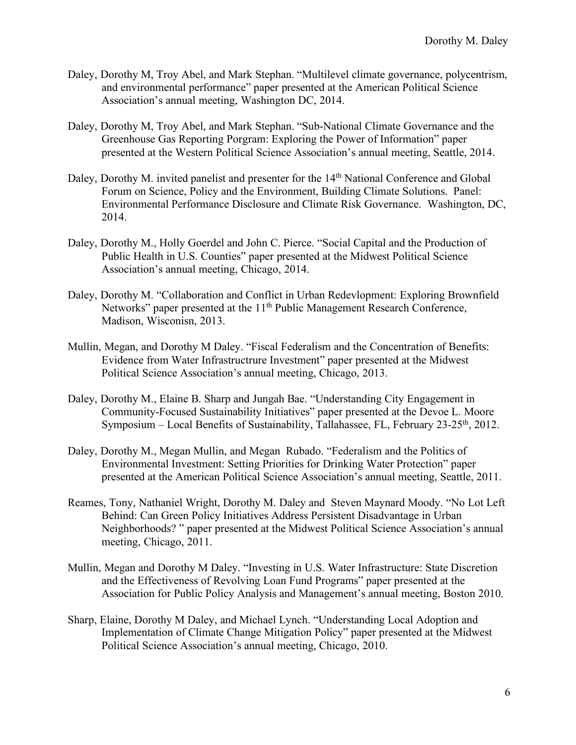- Daley, Dorothy M, Troy Abel, and Mark Stephan. "Multilevel climate governance, polycentrism, and environmental performance" paper presented at the American Political Science Association's annual meeting, Washington DC, 2014.
- Daley, Dorothy M, Troy Abel, and Mark Stephan. "Sub-National Climate Governance and the Greenhouse Gas Reporting Porgram: Exploring the Power of Information" paper presented at the Western Political Science Association's annual meeting, Seattle, 2014.
- Daley, Dorothy M. invited panelist and presenter for the 14<sup>th</sup> National Conference and Global Forum on Science, Policy and the Environment, Building Climate Solutions. Panel: Environmental Performance Disclosure and Climate Risk Governance. Washington, DC, 2014.
- 2014. Daley, Dorothy M., Holly Goerdel and John C. Pierce. "Social Capital and the Production of Public Health in U.S. Counties" paper presented at the Midwest Political Science Association's annual meeting, Chicago, 2014.
- Daley, Dorothy M. "Collaboration and Conflict in Urban Redevlopment: Exploring Brownfield Networks" paper presented at the 11<sup>th</sup> Public Management Research Conference, Madison, Wisconisn, 2013.
- Mullin, Megan, and Dorothy M Daley. "Fiscal Federalism and the Concentration of Benefits: Evidence from Water Infrastructrure Investment" paper presented at the Midwest Political Science Association's annual meeting, Chicago, 2013.
- Daley, Dorothy M., Elaine B. Sharp and Jungah Bae. "Understanding City Engagement in Community-Focused Sustainability Initiatives" paper presented at the Devoe L. Moore Symposium – Local Benefits of Sustainability, Tallahassee, FL, February 23-25<sup>th</sup>, 2012.
- Daley, Dorothy M., Megan Mullin, and Megan Rubado. "Federalism and the Politics of Environmental Investment: Setting Priorities for Drinking Water Protection" paper presented at the American Political Science Association's annual meeting, Seattle, 2011.
- Reames, Tony, Nathaniel Wright, Dorothy M. Daley and Steven Maynard Moody. "No Lot Left Behind: Can Green Policy Initiatives Address Persistent Disadvantage in Urban Neighborhoods? " paper presented at the Midwest Political Science Association's annual meeting, Chicago, 2011.
- Mullin, Megan and Dorothy M Daley. "Investing in U.S. Water Infrastructure: State Discretion and the Effectiveness of Revolving Loan Fund Programs" paper presented at the Association for Public Policy Analysis and Management's annual meeting, Boston 2010.
- Sharp, Elaine, Dorothy M Daley, and Michael Lynch. "Understanding Local Adoption and Implementation of Climate Change Mitigation Policy" paper presented at the Midwest Political Science Association's annual meeting, Chicago, 2010.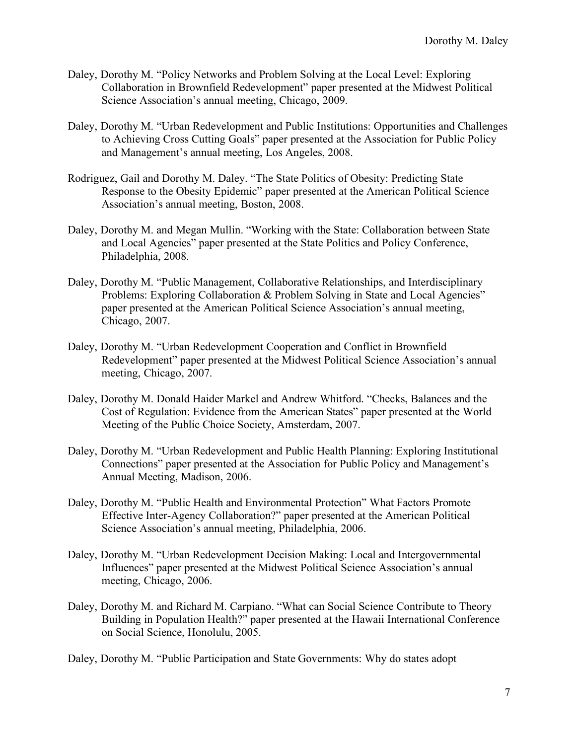- Daley, Dorothy M. "Policy Networks and Problem Solving at the Local Level: Exploring Collaboration in Brownfield Redevelopment" paper presented at the Midwest Political Science Association's annual meeting, Chicago, 2009.
- Daley, Dorothy M. "Urban Redevelopment and Public Institutions: Opportunities and Challenges to Achieving Cross Cutting Goals" paper presented at the Association for Public Policy and Management's annual meeting, Los Angeles, 2008.
- Rodriguez, Gail and Dorothy M. Daley. "The State Politics of Obesity: Predicting State Response to the Obesity Epidemic" paper presented at the American Political Science Association's annual meeting, Boston, 2008.
- Daley, Dorothy M. and Megan Mullin. "Working with the State: Collaboration between State and Local Agencies" paper presented at the State Politics and Policy Conference, Philadelphia, 2008.
- Daley, Dorothy M. "Public Management, Collaborative Relationships, and Interdisciplinary Problems: Exploring Collaboration & Problem Solving in State and Local Agencies" Chicago, 2007. paper presented at the American Political Science Association's annual meeting,
- Daley, Dorothy M. "Urban Redevelopment Cooperation and Conflict in Brownfield Redevelopment" paper presented at the Midwest Political Science Association's annual meeting, Chicago, 2007.
- Daley, Dorothy M. Donald Haider Markel and Andrew Whitford. "Checks, Balances and the Cost of Regulation: Evidence from the American States" paper presented at the World Meeting of the Public Choice Society, Amsterdam, 2007.
- Daley, Dorothy M. "Urban Redevelopment and Public Health Planning: Exploring Institutional Connections" paper presented at the Association for Public Policy and Management's Annual Meeting, Madison, 2006.
- Daley, Dorothy M. "Public Health and Environmental Protection" What Factors Promote Effective Inter-Agency Collaboration?" paper presented at the American Political Science Association's annual meeting, Philadelphia, 2006.
- Daley, Dorothy M. "Urban Redevelopment Decision Making: Local and Intergovernmental Influences" paper presented at the Midwest Political Science Association's annual meeting, Chicago, 2006.
- Daley, Dorothy M. and Richard M. Carpiano. "What can Social Science Contribute to Theory Building in Population Health?" paper presented at the Hawaii International Conference on Social Science, Honolulu, 2005.

Daley, Dorothy M. "Public Participation and State Governments: Why do states adopt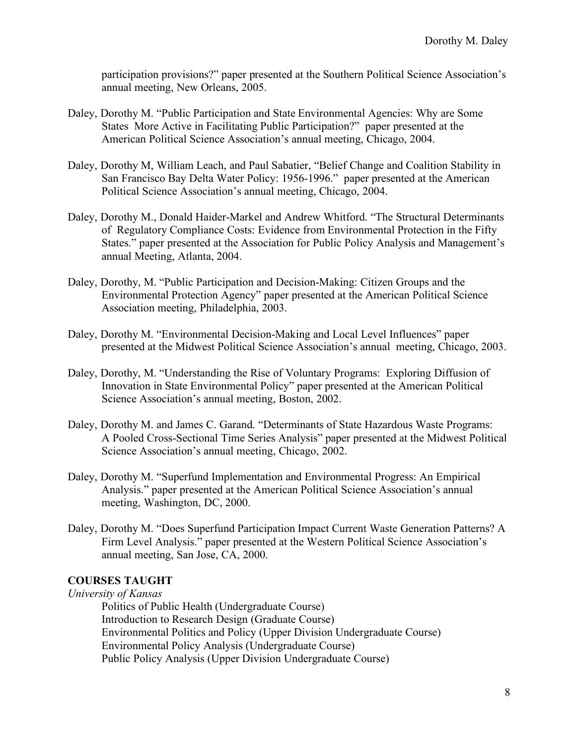participation provisions?" paper presented at the Southern Political Science Association's annual meeting, New Orleans, 2005.

- Daley, Dorothy M. "Public Participation and State Environmental Agencies: Why are Some States More Active in Facilitating Public Participation?" paper presented at the American Political Science Association's annual meeting, Chicago, 2004.
- Daley, Dorothy M, William Leach, and Paul Sabatier, "Belief Change and Coalition Stability in San Francisco Bay Delta Water Policy: 1956-1996." paper presented at the American Political Science Association's annual meeting, Chicago, 2004.
- Daley, Dorothy M., Donald Haider-Markel and Andrew Whitford. "The Structural Determinants of Regulatory Compliance Costs: Evidence from Environmental Protection in the Fifty States." paper presented at the Association for Public Policy Analysis and Management's annual Meeting, Atlanta, 2004.
- Daley, Dorothy, M. "Public Participation and Decision-Making: Citizen Groups and the Environmental Protection Agency" paper presented at the American Political Science Association meeting, Philadelphia, 2003.
- Daley, Dorothy M. "Environmental Decision-Making and Local Level Influences" paper presented at the Midwest Political Science Association's annual meeting, Chicago, 2003.
- Daley, Dorothy, M. "Understanding the Rise of Voluntary Programs: Exploring Diffusion of Innovation in State Environmental Policy" paper presented at the American Political Science Association's annual meeting, Boston, 2002.
- Daley, Dorothy M. and James C. Garand. "Determinants of State Hazardous Waste Programs: A Pooled Cross-Sectional Time Series Analysis" paper presented at the Midwest Political Science Association's annual meeting, Chicago, 2002.
- Daley, Dorothy M. "Superfund Implementation and Environmental Progress: An Empirical Analysis." paper presented at the American Political Science Association's annual meeting, Washington, DC, 2000.
- Daley, Dorothy M. "Does Superfund Participation Impact Current Waste Generation Patterns? A Firm Level Analysis." paper presented at the Western Political Science Association's annual meeting, San Jose, CA, 2000.

# **COURSES TAUGHT**

#### *University of Kansas*

 Politics of Public Health (Undergraduate Course) Introduction to Research Design (Graduate Course) Environmental Politics and Policy (Upper Division Undergraduate Course) Environmental Policy Analysis (Undergraduate Course) Public Policy Analysis (Upper Division Undergraduate Course)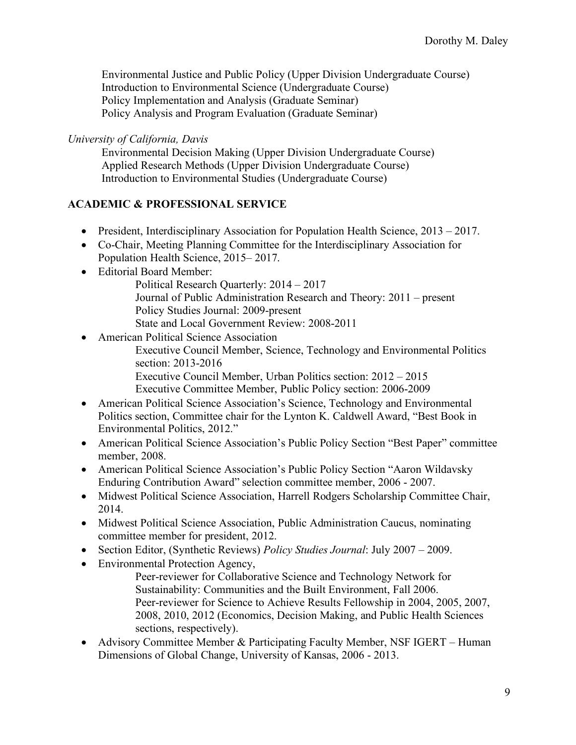Environmental Justice and Public Policy (Upper Division Undergraduate Course) Introduction to Environmental Science (Undergraduate Course) Policy Implementation and Analysis (Graduate Seminar) Policy Analysis and Program Evaluation (Graduate Seminar)

 *University of California, Davis* 

 Environmental Decision Making (Upper Division Undergraduate Course) Applied Research Methods (Upper Division Undergraduate Course) Introduction to Environmental Studies (Undergraduate Course)

## **ACADEMIC & PROFESSIONAL SERVICE**

- President, Interdisciplinary Association for Population Health Science, 2013 2017.
- • Co-Chair, Meeting Planning Committee for the Interdisciplinary Association for Population Health Science, 2015– 2017.
- Editorial Board Member:
	- Political Research Quarterly:  $2014 2017$
	- Journal of Public Administration Research and Theory: 2011 present Policy Studies Journal: 2009-present
	- State and Local Government Review: 2008-2011
- • American Political Science Association Executive Council Member, Science, Technology and Environmental Politics section: 2013-2016 Executive Council Member, Urban Politics section: 2012 – 2015 Executive Committee Member, Public Policy section: 2006-2009
- • American Political Science Association's Science, Technology and Environmental Politics section, Committee chair for the Lynton K. Caldwell Award, "Best Book in Environmental Politics, 2012."
- • American Political Science Association's Public Policy Section "Best Paper" committee member, 2008.
- • American Political Science Association's Public Policy Section "Aaron Wildavsky Enduring Contribution Award" selection committee member, 2006 - 2007.
- • Midwest Political Science Association, Harrell Rodgers Scholarship Committee Chair, 2014.
- • Midwest Political Science Association, Public Administration Caucus, nominating committee member for president, 2012.
- Section Editor, (Synthetic Reviews) *Policy Studies Journal*: July 2007 2009.
- Environmental Protection Agency,
- Environmental Protection Agency, Peer-reviewer for Collaborative Science and Technology Network for Sustainability: Communities and the Built Environment, Fall 2006. Peer-reviewer for Science to Achieve Results Fellowship in 2004, 2005, 2007, 2008, 2010, 2012 (Economics, Decision Making, and Public Health Sciences sections, respectively).
- Advisory Committee Member & Participating Faculty Member, NSF IGERT Human Dimensions of Global Change, University of Kansas, 2006 - 2013.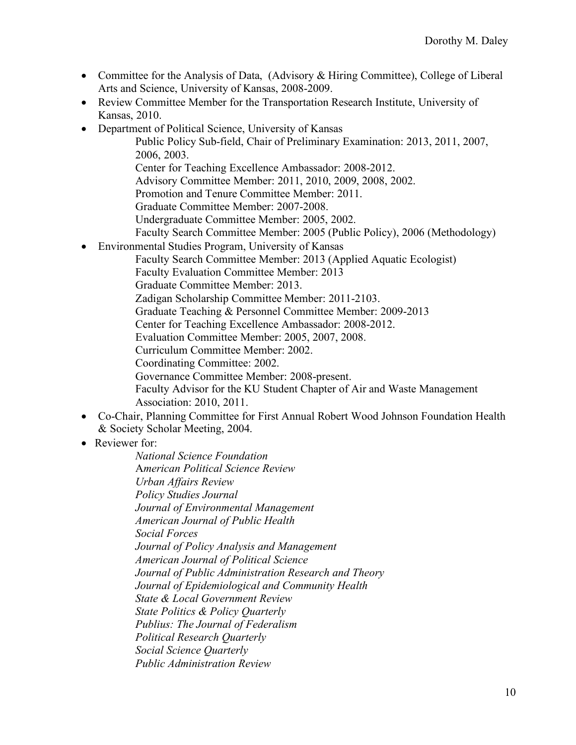- • Committee for the Analysis of Data, (Advisory & Hiring Committee), College of Liberal Arts and Science, University of Kansas, 2008-2009.
- • Review Committee Member for the Transportation Research Institute, University of Kansas, 2010.
- • Department of Political Science, University of Kansas
	- Public Policy Sub-field, Chair of Preliminary Examination: 2013, 2011, 2007, 2006, 2003.
	- Center for Teaching Excellence Ambassador: 2008-2012.
	- Advisory Committee Member: 2011, 2010, 2009, 2008, 2002.
	- Promotion and Tenure Committee Member: 2011.
	- Graduate Committee Member: 2007-2008.
	- Undergraduate Committee Member: 2005, 2002.
	- Faculty Search Committee Member: 2005 (Public Policy), 2006 (Methodology)
- • Environmental Studies Program, University of Kansas
	- Faculty Search Committee Member: 2013 (Applied Aquatic Ecologist)
	- Faculty Evaluation Committee Member: 2013
	- Graduate Committee Member: 2013.
	- Zadigan Scholarship Committee Member: 2011-2103.
	- Graduate Teaching & Personnel Committee Member: 2009-2013
	- Center for Teaching Excellence Ambassador: 2008-2012.
	- Evaluation Committee Member: 2005, 2007, 2008.
	- Curriculum Committee Member: 2002.
	- Coordinating Committee: 2002.
	- Governance Committee Member: 2008-present.
	- Faculty Advisor for the KU Student Chapter of Air and Waste Management Association: 2010, 2011.
- • Co-Chair, Planning Committee for First Annual Robert Wood Johnson Foundation Health & Society Scholar Meeting, 2004.
- Reviewer for:

 A*merican Political Science Review Urban Affairs Review Policy Studies Journal Journal of Environmental Management American Journal of Public Health Social Forces Journal of Policy Analysis and Management American Journal of Political Science Journal of Public Administration Research and Theory Journal of Epidemiological and Community Health State & Local Government Review Publius: The Journal of Federalism Social Science Quarterly National Science Foundation State Politics & Policy Quarterly Political Research Quarterly Public Administration Review*